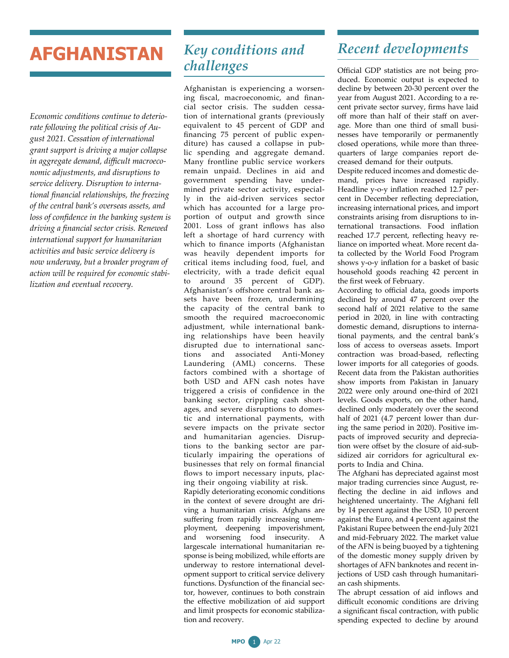## **AFGHANISTAN**

*Economic conditions continue to deteriorate following the political crisis of August 2021. Cessation of international grant support is driving a major collapse in aggregate demand, difficult macroeconomic adjustments, and disruptions to service delivery. Disruption to international financial relationships, the freezing of the central bank's overseas assets, and loss of confidence in the banking system is driving a financial sector crisis. Renewed international support for humanitarian activities and basic service delivery is now underway, but a broader program of action will be required for economic stabilization and eventual recovery.*

## *Key conditions and challenges*

Afghanistan is experiencing a worsening fiscal, macroeconomic, and financial sector crisis. The sudden cessation of international grants (previously equivalent to 45 percent of GDP and financing 75 percent of public expenditure) has caused a collapse in public spending and aggregate demand. Many frontline public service workers remain unpaid. Declines in aid and government spending have undermined private sector activity, especially in the aid-driven services sector which has accounted for a large proportion of output and growth since 2001. Loss of grant inflows has also left a shortage of hard currency with which to finance imports (Afghanistan was heavily dependent imports for critical items including food, fuel, and electricity, with a trade deficit equal to around 35 percent of GDP). Afghanistan's offshore central bank assets have been frozen, undermining the capacity of the central bank to smooth the required macroeconomic adjustment, while international banking relationships have been heavily disrupted due to international sanctions and associated Anti-Money Laundering (AML) concerns. These factors combined with a shortage of both USD and AFN cash notes have triggered a crisis of confidence in the banking sector, crippling cash shortages, and severe disruptions to domestic and international payments, with severe impacts on the private sector and humanitarian agencies. Disruptions to the banking sector are particularly impairing the operations of businesses that rely on formal financial flows to import necessary inputs, placing their ongoing viability at risk. Rapidly deteriorating economic conditions

in the context of severe drought are driving a humanitarian crisis. Afghans are suffering from rapidly increasing unemployment, deepening impoverishment, and worsening food insecurity. A largescale international humanitarian response is being mobilized, while efforts are underway to restore international development support to critical service delivery functions. Dysfunction of the financial sector, however, continues to both constrain the effective mobilization of aid support and limit prospects for economic stabilization and recovery.

## *Recent developments*

Official GDP statistics are not being produced. Economic output is expected to decline by between 20-30 percent over the year from August 2021. According to a recent private sector survey, firms have laid off more than half of their staff on average. More than one third of small businesses have temporarily or permanently closed operations, while more than threequarters of large companies report decreased demand for their outputs.

Despite reduced incomes and domestic demand, prices have increased rapidly. Headline y-o-y inflation reached 12.7 percent in December reflecting depreciation, increasing international prices, and import constraints arising from disruptions to international transactions. Food inflation reached 17.7 percent, reflecting heavy reliance on imported wheat. More recent data collected by the World Food Program shows y-o-y inflation for a basket of basic household goods reaching 42 percent in the first week of February.

According to official data, goods imports declined by around 47 percent over the second half of 2021 relative to the same period in 2020, in line with contracting domestic demand, disruptions to international payments, and the central bank's loss of access to overseas assets. Import contraction was broad-based, reflecting lower imports for all categories of goods. Recent data from the Pakistan authorities show imports from Pakistan in January 2022 were only around one-third of 2021 levels. Goods exports, on the other hand, declined only moderately over the second half of 2021 (4.7 percent lower than during the same period in 2020). Positive impacts of improved security and depreciation were offset by the closure of aid-subsidized air corridors for agricultural exports to India and China.

The Afghani has depreciated against most major trading currencies since August, reflecting the decline in aid inflows and heightened uncertainty. The Afghani fell by 14 percent against the USD, 10 percent against the Euro, and 4 percent against the Pakistani Rupee between the end-July 2021 and mid-February 2022. The market value of the AFN is being buoyed by a tightening of the domestic money supply driven by shortages of AFN banknotes and recent injections of USD cash through humanitarian cash shipments.

The abrupt cessation of aid inflows and difficult economic conditions are driving a significant fiscal contraction, with public spending expected to decline by around